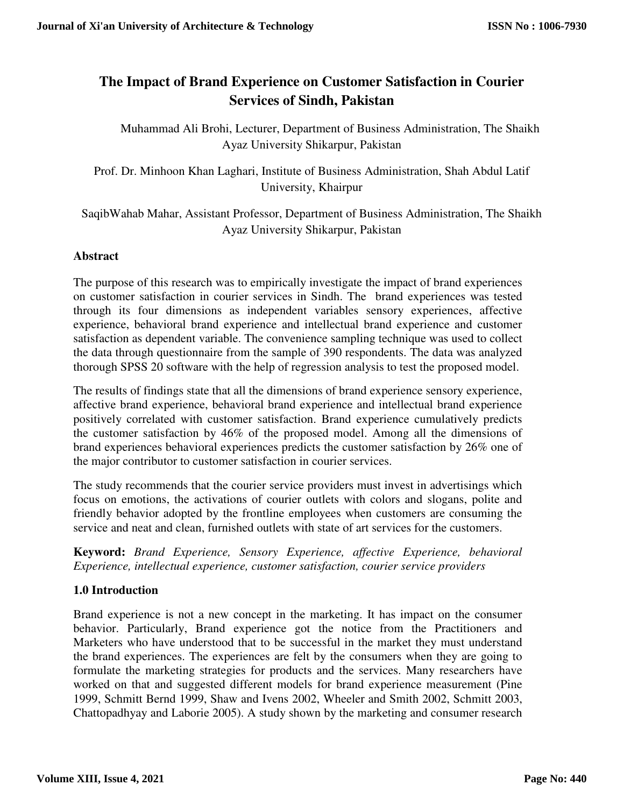# **The Impact of Brand Experience on Customer Satisfaction in Courier Services of Sindh, Pakistan**

Muhammad Ali Brohi, Lecturer, Department of Business Administration, The Shaikh Ayaz University Shikarpur, Pakistan

Prof. Dr. Minhoon Khan Laghari, Institute of Business Administration, Shah Abdul Latif University, Khairpur

SaqibWahab Mahar, Assistant Professor, Department of Business Administration, The Shaikh Ayaz University Shikarpur, Pakistan

## **Abstract**

The purpose of this research was to empirically investigate the impact of brand experiences on customer satisfaction in courier services in Sindh. The brand experiences was tested through its four dimensions as independent variables sensory experiences, affective experience, behavioral brand experience and intellectual brand experience and customer satisfaction as dependent variable. The convenience sampling technique was used to collect the data through questionnaire from the sample of 390 respondents. The data was analyzed thorough SPSS 20 software with the help of regression analysis to test the proposed model.

The results of findings state that all the dimensions of brand experience sensory experience, affective brand experience, behavioral brand experience and intellectual brand experience positively correlated with customer satisfaction. Brand experience cumulatively predicts the customer satisfaction by 46% of the proposed model. Among all the dimensions of brand experiences behavioral experiences predicts the customer satisfaction by 26% one of the major contributor to customer satisfaction in courier services.

The study recommends that the courier service providers must invest in advertisings which focus on emotions, the activations of courier outlets with colors and slogans, polite and friendly behavior adopted by the frontline employees when customers are consuming the service and neat and clean, furnished outlets with state of art services for the customers.

**Keyword:** *Brand Experience, Sensory Experience, affective Experience, behavioral Experience, intellectual experience, customer satisfaction, courier service providers* 

## **1.0 Introduction**

Brand experience is not a new concept in the marketing. It has impact on the consumer behavior. Particularly, Brand experience got the notice from the Practitioners and Marketers who have understood that to be successful in the market they must understand the brand experiences. The experiences are felt by the consumers when they are going to formulate the marketing strategies for products and the services. Many researchers have worked on that and suggested different models for brand experience measurement (Pine 1999, Schmitt Bernd 1999, Shaw and Ivens 2002, Wheeler and Smith 2002, Schmitt 2003, Chattopadhyay and Laborie 2005). A study shown by the marketing and consumer research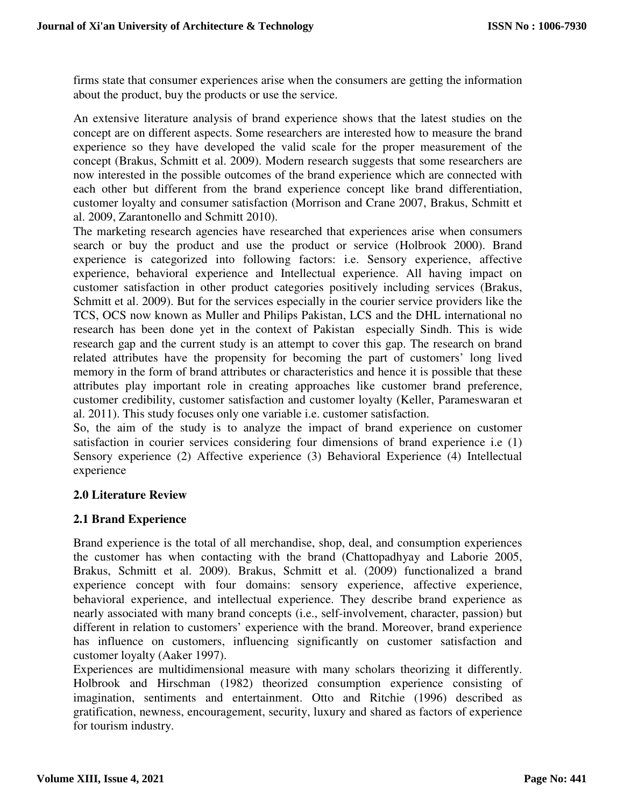firms state that consumer experiences arise when the consumers are getting the information about the product, buy the products or use the service.

An extensive literature analysis of brand experience shows that the latest studies on the concept are on different aspects. Some researchers are interested how to measure the brand experience so they have developed the valid scale for the proper measurement of the concept (Brakus, Schmitt et al. 2009). Modern research suggests that some researchers are now interested in the possible outcomes of the brand experience which are connected with each other but different from the brand experience concept like brand differentiation, customer loyalty and consumer satisfaction (Morrison and Crane 2007, Brakus, Schmitt et al. 2009, Zarantonello and Schmitt 2010).

The marketing research agencies have researched that experiences arise when consumers search or buy the product and use the product or service (Holbrook 2000). Brand experience is categorized into following factors: i.e. Sensory experience, affective experience, behavioral experience and Intellectual experience. All having impact on customer satisfaction in other product categories positively including services (Brakus, Schmitt et al. 2009). But for the services especially in the courier service providers like the TCS, OCS now known as Muller and Philips Pakistan, LCS and the DHL international no research has been done yet in the context of Pakistan especially Sindh. This is wide research gap and the current study is an attempt to cover this gap. The research on brand related attributes have the propensity for becoming the part of customers' long lived memory in the form of brand attributes or characteristics and hence it is possible that these attributes play important role in creating approaches like customer brand preference, customer credibility, customer satisfaction and customer loyalty (Keller, Parameswaran et al. 2011). This study focuses only one variable i.e. customer satisfaction.

So, the aim of the study is to analyze the impact of brand experience on customer satisfaction in courier services considering four dimensions of brand experience i.e (1) Sensory experience (2) Affective experience (3) Behavioral Experience (4) Intellectual experience

#### **2.0 Literature Review**

#### **2.1 Brand Experience**

Brand experience is the total of all merchandise, shop, deal, and consumption experiences the customer has when contacting with the brand (Chattopadhyay and Laborie 2005, Brakus, Schmitt et al. 2009). Brakus, Schmitt et al. (2009) functionalized a brand experience concept with four domains: sensory experience, affective experience, behavioral experience, and intellectual experience. They describe brand experience as nearly associated with many brand concepts (i.e., self-involvement, character, passion) but different in relation to customers' experience with the brand. Moreover, brand experience has influence on customers, influencing significantly on customer satisfaction and customer loyalty (Aaker 1997).

Experiences are multidimensional measure with many scholars theorizing it differently. Holbrook and Hirschman (1982) theorized consumption experience consisting of imagination, sentiments and entertainment. Otto and Ritchie (1996) described as gratification, newness, encouragement, security, luxury and shared as factors of experience for tourism industry.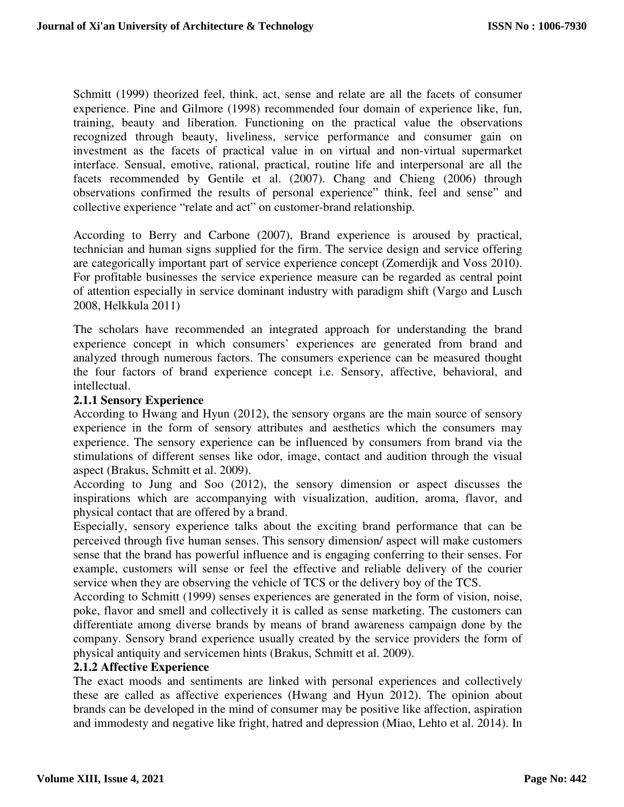Schmitt (1999) theorized feel, think, act, sense and relate are all the facets of consumer experience. Pine and Gilmore (1998) recommended four domain of experience like, fun, training, beauty and liberation. Functioning on the practical value the observations recognized through beauty, liveliness, service performance and consumer gain on investment as the facets of practical value in on virtual and non-virtual supermarket interface. Sensual, emotive, rational, practical, routine life and interpersonal are all the facets recommended by Gentile et al. (2007). Chang and Chieng (2006) through observations confirmed the results of personal experience" think, feel and sense" and collective experience "relate and act" on customer-brand relationship.

According to Berry and Carbone (2007), Brand experience is aroused by practical, technician and human signs supplied for the firm. The service design and service offering are categorically important part of service experience concept (Zomerdijk and Voss 2010). For profitable businesses the service experience measure can be regarded as central point of attention especially in service dominant industry with paradigm shift (Vargo and Lusch 2008, Helkkula 2011)

The scholars have recommended an integrated approach for understanding the brand experience concept in which consumers' experiences are generated from brand and analyzed through numerous factors. The consumers experience can be measured thought the four factors of brand experience concept i.e. Sensory, affective, behavioral, and intellectual.

#### **2.1.1 Sensory Experience**

According to Hwang and Hyun (2012), the sensory organs are the main source of sensory experience in the form of sensory attributes and aesthetics which the consumers may experience. The sensory experience can be influenced by consumers from brand via the stimulations of different senses like odor, image, contact and audition through the visual aspect (Brakus, Schmitt et al. 2009).

According to Jung and Soo (2012), the sensory dimension or aspect discusses the inspirations which are accompanying with visualization, audition, aroma, flavor, and physical contact that are offered by a brand.

Especially, sensory experience talks about the exciting brand performance that can be perceived through five human senses. This sensory dimension/ aspect will make customers sense that the brand has powerful influence and is engaging conferring to their senses. For example, customers will sense or feel the effective and reliable delivery of the courier service when they are observing the vehicle of TCS or the delivery boy of the TCS.

According to Schmitt (1999) senses experiences are generated in the form of vision, noise, poke, flavor and smell and collectively it is called as sense marketing. The customers can differentiate among diverse brands by means of brand awareness campaign done by the company. Sensory brand experience usually created by the service providers the form of physical antiquity and servicemen hints (Brakus, Schmitt et al. 2009).

#### **2.1.2 Affective Experience**

The exact moods and sentiments are linked with personal experiences and collectively these are called as affective experiences (Hwang and Hyun 2012). The opinion about brands can be developed in the mind of consumer may be positive like affection, aspiration and immodesty and negative like fright, hatred and depression (Miao, Lehto et al. 2014). In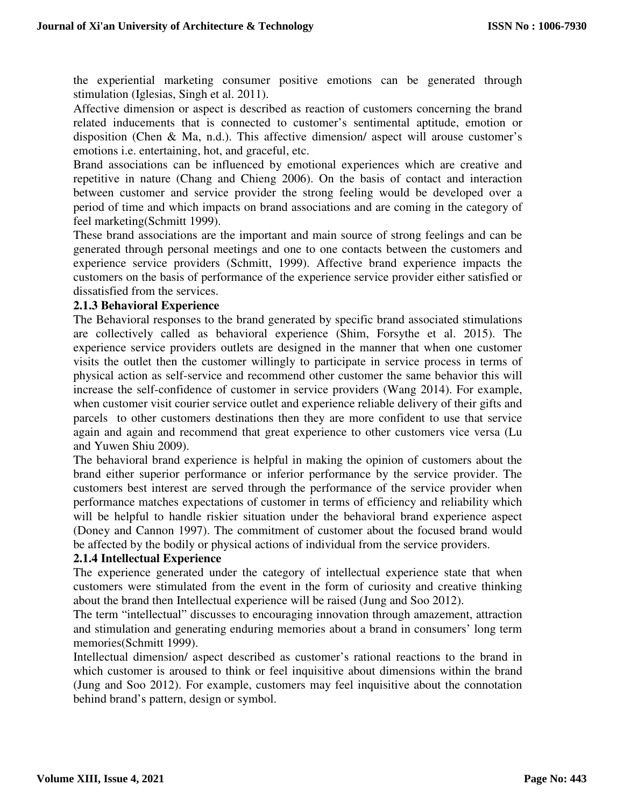the experiential marketing consumer positive emotions can be generated through stimulation (Iglesias, Singh et al. 2011).

Affective dimension or aspect is described as reaction of customers concerning the brand related inducements that is connected to customer's sentimental aptitude, emotion or disposition (Chen & Ma, n.d.). This affective dimension/ aspect will arouse customer's emotions i.e. entertaining, hot, and graceful, etc.

Brand associations can be influenced by emotional experiences which are creative and repetitive in nature (Chang and Chieng 2006). On the basis of contact and interaction between customer and service provider the strong feeling would be developed over a period of time and which impacts on brand associations and are coming in the category of feel marketing(Schmitt 1999).

These brand associations are the important and main source of strong feelings and can be generated through personal meetings and one to one contacts between the customers and experience service providers (Schmitt, 1999). Affective brand experience impacts the customers on the basis of performance of the experience service provider either satisfied or dissatisfied from the services.

#### **2.1.3 Behavioral Experience**

The Behavioral responses to the brand generated by specific brand associated stimulations are collectively called as behavioral experience (Shim, Forsythe et al. 2015). The experience service providers outlets are designed in the manner that when one customer visits the outlet then the customer willingly to participate in service process in terms of physical action as self-service and recommend other customer the same behavior this will increase the self-confidence of customer in service providers (Wang 2014). For example, when customer visit courier service outlet and experience reliable delivery of their gifts and parcels to other customers destinations then they are more confident to use that service again and again and recommend that great experience to other customers vice versa (Lu and Yuwen Shiu 2009).

The behavioral brand experience is helpful in making the opinion of customers about the brand either superior performance or inferior performance by the service provider. The customers best interest are served through the performance of the service provider when performance matches expectations of customer in terms of efficiency and reliability which will be helpful to handle riskier situation under the behavioral brand experience aspect (Doney and Cannon 1997). The commitment of customer about the focused brand would be affected by the bodily or physical actions of individual from the service providers.

#### **2.1.4 Intellectual Experience**

The experience generated under the category of intellectual experience state that when customers were stimulated from the event in the form of curiosity and creative thinking about the brand then Intellectual experience will be raised (Jung and Soo 2012).

The term "intellectual" discusses to encouraging innovation through amazement, attraction and stimulation and generating enduring memories about a brand in consumers' long term memories(Schmitt 1999).

Intellectual dimension/ aspect described as customer's rational reactions to the brand in which customer is aroused to think or feel inquisitive about dimensions within the brand (Jung and Soo 2012). For example, customers may feel inquisitive about the connotation behind brand's pattern, design or symbol.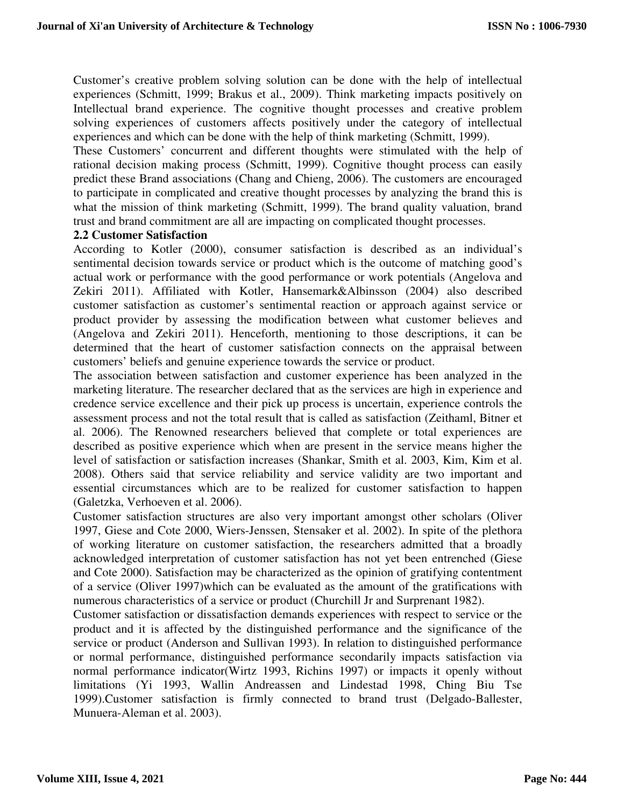Customer's creative problem solving solution can be done with the help of intellectual experiences (Schmitt, 1999; Brakus et al., 2009). Think marketing impacts positively on Intellectual brand experience. The cognitive thought processes and creative problem solving experiences of customers affects positively under the category of intellectual experiences and which can be done with the help of think marketing (Schmitt, 1999).

These Customers' concurrent and different thoughts were stimulated with the help of rational decision making process (Schmitt, 1999). Cognitive thought process can easily predict these Brand associations (Chang and Chieng, 2006). The customers are encouraged to participate in complicated and creative thought processes by analyzing the brand this is what the mission of think marketing (Schmitt, 1999). The brand quality valuation, brand trust and brand commitment are all are impacting on complicated thought processes.

#### **2.2 Customer Satisfaction**

According to Kotler (2000), consumer satisfaction is described as an individual's sentimental decision towards service or product which is the outcome of matching good's actual work or performance with the good performance or work potentials (Angelova and Zekiri 2011). Affiliated with Kotler, Hansemark&Albinsson (2004) also described customer satisfaction as customer's sentimental reaction or approach against service or product provider by assessing the modification between what customer believes and (Angelova and Zekiri 2011). Henceforth, mentioning to those descriptions, it can be determined that the heart of customer satisfaction connects on the appraisal between customers' beliefs and genuine experience towards the service or product.

The association between satisfaction and customer experience has been analyzed in the marketing literature. The researcher declared that as the services are high in experience and credence service excellence and their pick up process is uncertain, experience controls the assessment process and not the total result that is called as satisfaction (Zeithaml, Bitner et al. 2006). The Renowned researchers believed that complete or total experiences are described as positive experience which when are present in the service means higher the level of satisfaction or satisfaction increases (Shankar, Smith et al. 2003, Kim, Kim et al. 2008). Others said that service reliability and service validity are two important and essential circumstances which are to be realized for customer satisfaction to happen (Galetzka, Verhoeven et al. 2006).

Customer satisfaction structures are also very important amongst other scholars (Oliver 1997, Giese and Cote 2000, Wiers-Jenssen, Stensaker et al. 2002). In spite of the plethora of working literature on customer satisfaction, the researchers admitted that a broadly acknowledged interpretation of customer satisfaction has not yet been entrenched (Giese and Cote 2000). Satisfaction may be characterized as the opinion of gratifying contentment of a service (Oliver 1997)which can be evaluated as the amount of the gratifications with numerous characteristics of a service or product (Churchill Jr and Surprenant 1982).

Customer satisfaction or dissatisfaction demands experiences with respect to service or the product and it is affected by the distinguished performance and the significance of the service or product (Anderson and Sullivan 1993). In relation to distinguished performance or normal performance, distinguished performance secondarily impacts satisfaction via normal performance indicator(Wirtz 1993, Richins 1997) or impacts it openly without limitations (Yi 1993, Wallin Andreassen and Lindestad 1998, Ching Biu Tse 1999).Customer satisfaction is firmly connected to brand trust (Delgado-Ballester, Munuera-Aleman et al. 2003).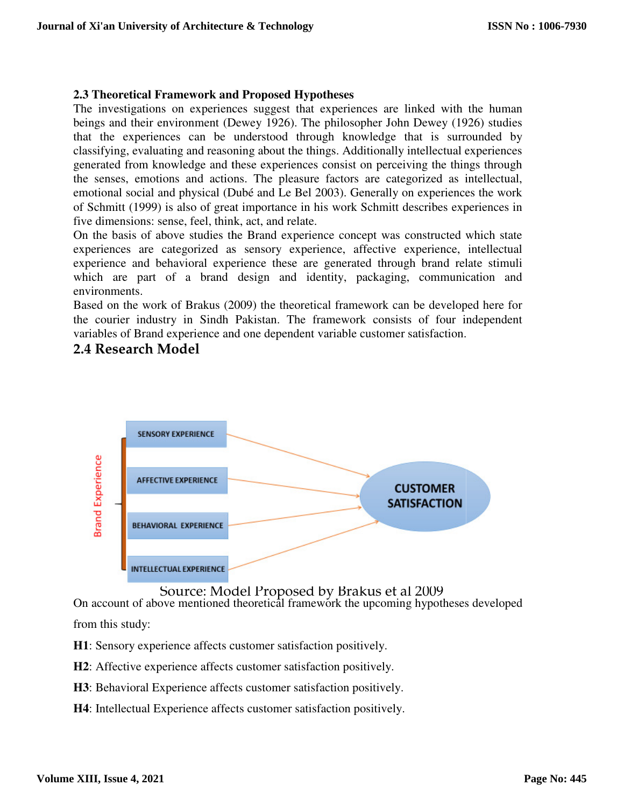## **2.3 Theoretical Framework and Proposed Hypotheses**

The investigations on experiences suggest that experiences are linked with the human The investigations on experiences suggest that experiences are linked with the human beings and their environment (Dewey 1926). The philosopher John Dewey (1926) studies that the experiences can be understood through knowledge that is surrounded by classifying, evaluating and reasoning about the things. Additionally intellectual experiences generated from knowledge and these experiences consist on perceiving the things through the senses, emotions and actions. The pleasure factors are categorized as intellectual, emotional social and physical (Dubé and Le Bel 2003). Generally on experiences the work of Schmitt (1999) is also of great importance in his work Schmitt describes experiences in five dimensions: sense, feel, think, act, and relate. of Schmitt (1999) is also of great importance in his work Schmitt describes experiences in five dimensions: sense, feel, think, act, and relate.<br>On the basis of above studies the Brand experience concept was constructed wh I, evaluating and reasoning about the things. Additionally intellectual experiences from knowledge and these experiences consist on perceiving the things through, emotions and actions. The pleasure factors are categorized b). The philosopher John Dewey (1926) studies<br>through knowledge that is surrounded by<br>the things. Additionally intellectual experiences<br>iences consist on perceiving the things through<br>easure factors are categorized as inte **Journal of Xi'an University of Architecture & Technology**<br> **2.3 Theoretical Framework and Proposed Hypotheses**<br>
The investigations on experiences suggest that experiences are linked with<br>
beings and their environment (Dew

experiences are categorized as sensory experience, affective experience, intellectual experience and behavioral experience these are generated through brand relate stimuli which are part of a brand design and identity, packaging, communication and environments.

Based on the work of Brakus (2009) the theoretical framework can be developed here for the courier industry in Sindh Pakistan. The framework consists of four independent the courier industry in Sindh Pakistan. The framework consists of four ir variables of Brand experience and one dependent variable customer satisfaction.

## **2.4 Research Model**



Source: Model Proposed by Brakus et al 2009

On account of above mentioned theoretical framework the upcoming hypotheses developed<br>from this study:<br>H1: Sensory experience affects customer satisfaction positively. from this study:

- **H1**: Sensory experience affects customer satisfaction positively.
- **H2**: Affective experience affects customer satisfaction positively.
- **H3**: Behavioral Experience affects customer satisfaction positively.
- H4: Intellectual Experience affects customer satisfaction positively.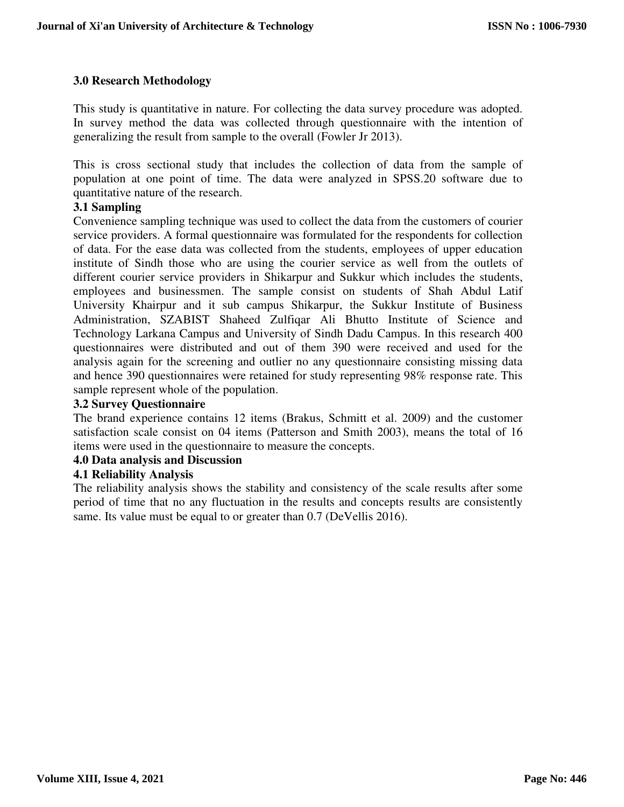## **3.0 Research Methodology**

This study is quantitative in nature. For collecting the data survey procedure was adopted. In survey method the data was collected through questionnaire with the intention of generalizing the result from sample to the overall (Fowler Jr 2013).

This is cross sectional study that includes the collection of data from the sample of population at one point of time. The data were analyzed in SPSS.20 software due to quantitative nature of the research.

## **3.1 Sampling**

Convenience sampling technique was used to collect the data from the customers of courier service providers. A formal questionnaire was formulated for the respondents for collection of data. For the ease data was collected from the students, employees of upper education institute of Sindh those who are using the courier service as well from the outlets of different courier service providers in Shikarpur and Sukkur which includes the students, employees and businessmen. The sample consist on students of Shah Abdul Latif University Khairpur and it sub campus Shikarpur, the Sukkur Institute of Business Administration, SZABIST Shaheed Zulfiqar Ali Bhutto Institute of Science and Technology Larkana Campus and University of Sindh Dadu Campus. In this research 400 questionnaires were distributed and out of them 390 were received and used for the analysis again for the screening and outlier no any questionnaire consisting missing data and hence 390 questionnaires were retained for study representing 98% response rate. This sample represent whole of the population.

## **3.2 Survey Questionnaire**

The brand experience contains 12 items (Brakus, Schmitt et al. 2009) and the customer satisfaction scale consist on 04 items (Patterson and Smith 2003), means the total of 16 items were used in the questionnaire to measure the concepts.

## **4.0 Data analysis and Discussion**

#### **4.1 Reliability Analysis**

The reliability analysis shows the stability and consistency of the scale results after some period of time that no any fluctuation in the results and concepts results are consistently same. Its value must be equal to or greater than 0.7 (DeVellis 2016).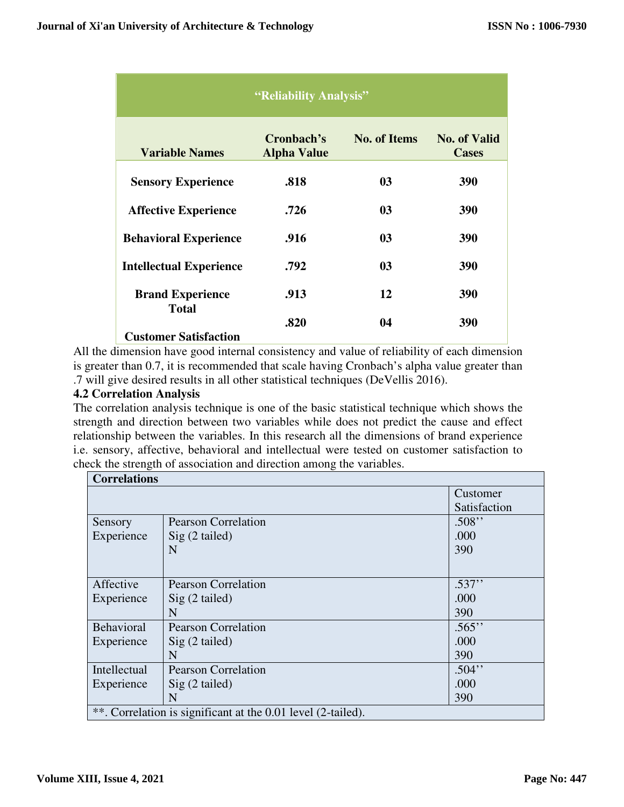| "Reliability Analysis"                       |                                  |                     |                                     |  |  |  |  |
|----------------------------------------------|----------------------------------|---------------------|-------------------------------------|--|--|--|--|
| <b>Variable Names</b>                        | Cronbach's<br><b>Alpha Value</b> | <b>No. of Items</b> | <b>No. of Valid</b><br><b>Cases</b> |  |  |  |  |
| <b>Sensory Experience</b>                    | .818                             | 0 <sub>3</sub>      | 390                                 |  |  |  |  |
| <b>Affective Experience</b>                  | .726                             | 0 <sub>3</sub>      | 390                                 |  |  |  |  |
| <b>Behavioral Experience</b>                 | .916                             | 0 <sub>3</sub>      | 390                                 |  |  |  |  |
| <b>Intellectual Experience</b>               | .792                             | 0 <sub>3</sub>      | 390                                 |  |  |  |  |
| <b>Brand Experience</b>                      | .913                             | 12                  | 390                                 |  |  |  |  |
| <b>Total</b><br><b>Customer Satisfaction</b> | .820                             | 04                  | 390                                 |  |  |  |  |

All the dimension have good internal consistency and value of reliability of each dimension is greater than 0.7, it is recommended that scale having Cronbach's alpha value greater than .7 will give desired results in all other statistical techniques (DeVellis 2016).

#### **4.2 Correlation Analysis**

The correlation analysis technique is one of the basic statistical technique which shows the strength and direction between two variables while does not predict the cause and effect relationship between the variables. In this research all the dimensions of brand experience i.e. sensory, affective, behavioral and intellectual were tested on customer satisfaction to check the strength of association and direction among the variables.

| <b>Correlations</b>                                          |                            |              |  |  |  |
|--------------------------------------------------------------|----------------------------|--------------|--|--|--|
|                                                              |                            | Customer     |  |  |  |
|                                                              |                            | Satisfaction |  |  |  |
| Sensory                                                      | <b>Pearson Correlation</b> | .508"        |  |  |  |
| Experience                                                   | $Sig(2-tailed)$            | .000         |  |  |  |
|                                                              | N                          | 390          |  |  |  |
|                                                              |                            |              |  |  |  |
| Affective                                                    | <b>Pearson Correlation</b> | .537"        |  |  |  |
| Experience                                                   | $Sig(2-tailed)$            | .000         |  |  |  |
|                                                              | N                          | 390          |  |  |  |
| Behavioral                                                   | <b>Pearson Correlation</b> | .565"        |  |  |  |
| Experience                                                   | $Sig(2-tailed)$            | .000         |  |  |  |
|                                                              | N                          | 390          |  |  |  |
| Intellectual                                                 | <b>Pearson Correlation</b> | .504"        |  |  |  |
| Experience                                                   | $Sig(2-tailed)$            | .000         |  |  |  |
|                                                              | N                          | 390          |  |  |  |
| **. Correlation is significant at the 0.01 level (2-tailed). |                            |              |  |  |  |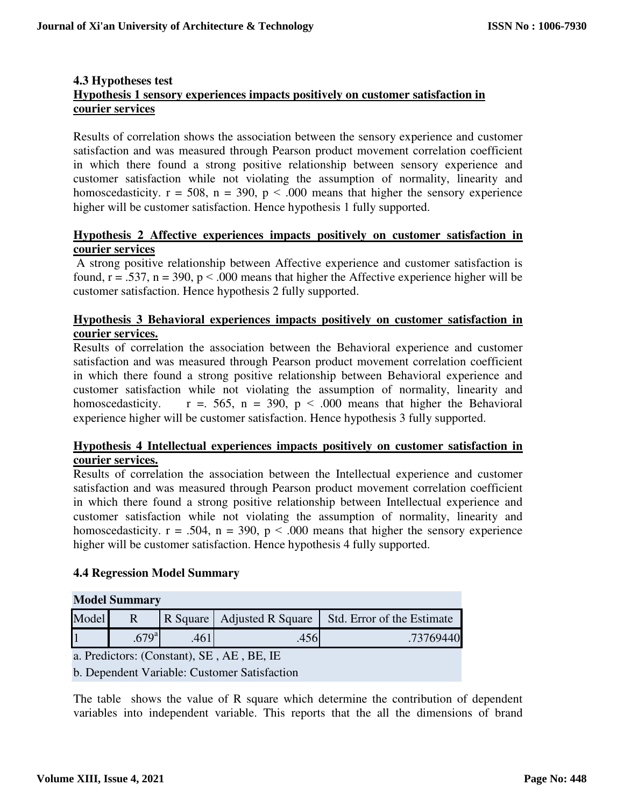#### **4.3 Hypotheses test Hypothesis 1 sensory experiences impacts positively on customer satisfaction in courier services**

Results of correlation shows the association between the sensory experience and customer satisfaction and was measured through Pearson product movement correlation coefficient in which there found a strong positive relationship between sensory experience and customer satisfaction while not violating the assumption of normality, linearity and homoscedasticity.  $r = 508$ ,  $n = 390$ ,  $p < .000$  means that higher the sensory experience higher will be customer satisfaction. Hence hypothesis 1 fully supported.

## **Hypothesis 2 Affective experiences impacts positively on customer satisfaction in courier services**

 A strong positive relationship between Affective experience and customer satisfaction is found,  $r = .537$ ,  $n = 390$ ,  $p < .000$  means that higher the Affective experience higher will be customer satisfaction. Hence hypothesis 2 fully supported.

## **Hypothesis 3 Behavioral experiences impacts positively on customer satisfaction in courier services.**

Results of correlation the association between the Behavioral experience and customer satisfaction and was measured through Pearson product movement correlation coefficient in which there found a strong positive relationship between Behavioral experience and customer satisfaction while not violating the assumption of normality, linearity and homoscedasticity.  $r = 0.565$ ,  $n = 390$ ,  $p < 0.00$  means that higher the Behavioral experience higher will be customer satisfaction. Hence hypothesis 3 fully supported.

## **Hypothesis 4 Intellectual experiences impacts positively on customer satisfaction in courier services.**

Results of correlation the association between the Intellectual experience and customer satisfaction and was measured through Pearson product movement correlation coefficient in which there found a strong positive relationship between Intellectual experience and customer satisfaction while not violating the assumption of normality, linearity and homoscedasticity.  $r = .504$ ,  $n = 390$ ,  $p < .000$  means that higher the sensory experience higher will be customer satisfaction. Hence hypothesis 4 fully supported.

## **4.4 Regression Model Summary**

#### **Model Summary**

| Model <sup>1</sup> |                  |      | R Square   Adjusted R Square | Std. Error of the Estimate |
|--------------------|------------------|------|------------------------------|----------------------------|
|                    | 679 <sup>a</sup> | 461' | .456                         | .73769440                  |

a. Predictors: (Constant), SE , AE , BE, IE

b. Dependent Variable: Customer Satisfaction

The table shows the value of R square which determine the contribution of dependent variables into independent variable. This reports that the all the dimensions of brand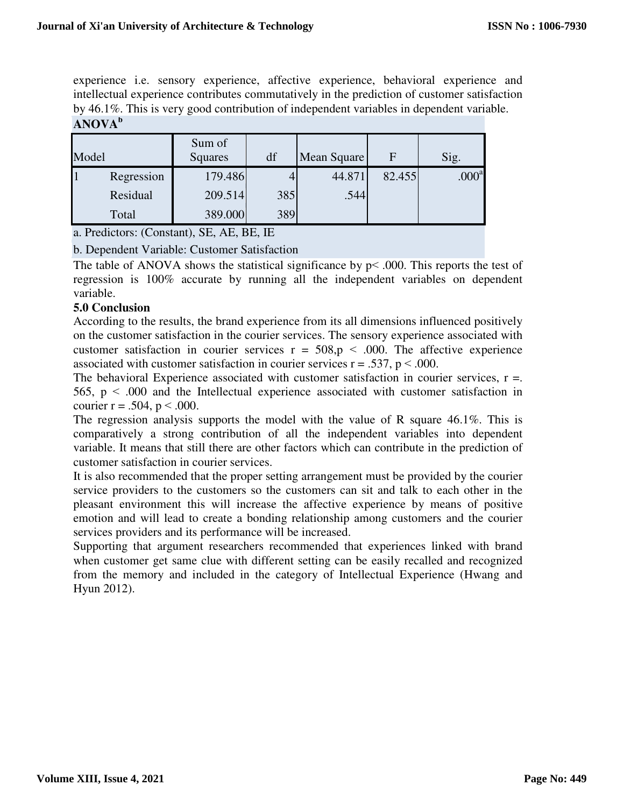experience i.e. sensory experience, affective experience, behavioral experience and intellectual experience contributes commutatively in the prediction of customer satisfaction by 46.1%. This is very good contribution of independent variables in dependent variable. **ANOVA<sup>b</sup>**

| Model      | Sum of<br>Squares | df  | Mean Square | F      | Sig.              |
|------------|-------------------|-----|-------------|--------|-------------------|
| Regression | 179.486           |     | 44.871      | 82.455 | .000 <sup>a</sup> |
| Residual   | 209.514           | 385 | .544        |        |                   |
| Total      | 389.000           | 389 |             |        |                   |

a. Predictors: (Constant), SE, AE, BE, IE

b. Dependent Variable: Customer Satisfaction

The table of ANOVA shows the statistical significance by  $p < .000$ . This reports the test of regression is 100% accurate by running all the independent variables on dependent variable.

## **5.0 Conclusion**

According to the results, the brand experience from its all dimensions influenced positively on the customer satisfaction in the courier services. The sensory experience associated with customer satisfaction in courier services  $r = 508$ ,  $p < .000$ . The affective experience associated with customer satisfaction in courier services  $r = .537$ ,  $p < .000$ .

The behavioral Experience associated with customer satisfaction in courier services,  $r =$ . 565,  $p < .000$  and the Intellectual experience associated with customer satisfaction in courier  $r = .504$ ,  $p < .000$ .

The regression analysis supports the model with the value of R square 46.1%. This is comparatively a strong contribution of all the independent variables into dependent variable. It means that still there are other factors which can contribute in the prediction of customer satisfaction in courier services.

It is also recommended that the proper setting arrangement must be provided by the courier service providers to the customers so the customers can sit and talk to each other in the pleasant environment this will increase the affective experience by means of positive emotion and will lead to create a bonding relationship among customers and the courier services providers and its performance will be increased.

Supporting that argument researchers recommended that experiences linked with brand when customer get same clue with different setting can be easily recalled and recognized from the memory and included in the category of Intellectual Experience (Hwang and Hyun 2012).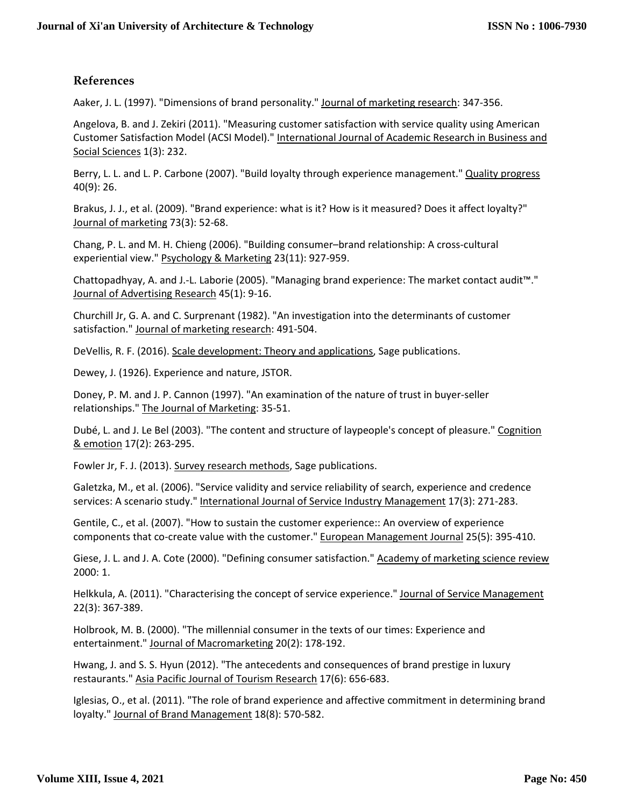## **References**

Aaker, J. L. (1997). "Dimensions of brand personality." Journal of marketing research: 347-356.

Angelova, B. and J. Zekiri (2011). "Measuring customer satisfaction with service quality using American Customer Satisfaction Model (ACSI Model)." International Journal of Academic Research in Business and Social Sciences 1(3): 232.

Berry, L. L. and L. P. Carbone (2007). "Build loyalty through experience management." Quality progress 40(9): 26.

Brakus, J. J., et al. (2009). "Brand experience: what is it? How is it measured? Does it affect loyalty?" Journal of marketing 73(3): 52-68.

Chang, P. L. and M. H. Chieng (2006). "Building consumer–brand relationship: A cross-cultural experiential view." Psychology & Marketing 23(11): 927-959.

Chattopadhyay, A. and J.-L. Laborie (2005). "Managing brand experience: The market contact audit™." Journal of Advertising Research 45(1): 9-16.

Churchill Jr, G. A. and C. Surprenant (1982). "An investigation into the determinants of customer satisfaction." Journal of marketing research: 491-504.

DeVellis, R. F. (2016). Scale development: Theory and applications, Sage publications.

Dewey, J. (1926). Experience and nature, JSTOR.

Doney, P. M. and J. P. Cannon (1997). "An examination of the nature of trust in buyer-seller relationships." The Journal of Marketing: 35-51.

Dubé, L. and J. Le Bel (2003). "The content and structure of laypeople's concept of pleasure." Cognition & emotion 17(2): 263-295.

Fowler Jr, F. J. (2013). Survey research methods, Sage publications.

Galetzka, M., et al. (2006). "Service validity and service reliability of search, experience and credence services: A scenario study." International Journal of Service Industry Management 17(3): 271-283.

Gentile, C., et al. (2007). "How to sustain the customer experience:: An overview of experience components that co-create value with the customer." European Management Journal 25(5): 395-410.

Giese, J. L. and J. A. Cote (2000). "Defining consumer satisfaction." Academy of marketing science review 2000: 1.

Helkkula, A. (2011). "Characterising the concept of service experience." Journal of Service Management 22(3): 367-389.

Holbrook, M. B. (2000). "The millennial consumer in the texts of our times: Experience and entertainment." Journal of Macromarketing 20(2): 178-192.

Hwang, J. and S. S. Hyun (2012). "The antecedents and consequences of brand prestige in luxury restaurants." Asia Pacific Journal of Tourism Research 17(6): 656-683.

Iglesias, O., et al. (2011). "The role of brand experience and affective commitment in determining brand loyalty." Journal of Brand Management 18(8): 570-582.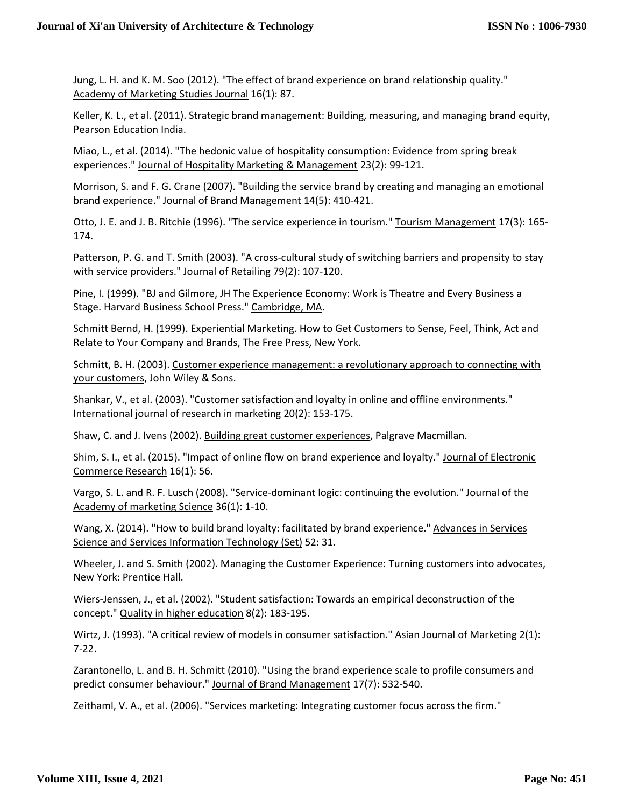Jung, L. H. and K. M. Soo (2012). "The effect of brand experience on brand relationship quality." Academy of Marketing Studies Journal 16(1): 87.

Keller, K. L., et al. (2011). Strategic brand management: Building, measuring, and managing brand equity, Pearson Education India.

Miao, L., et al. (2014). "The hedonic value of hospitality consumption: Evidence from spring break experiences." Journal of Hospitality Marketing & Management 23(2): 99-121.

Morrison, S. and F. G. Crane (2007). "Building the service brand by creating and managing an emotional brand experience." Journal of Brand Management 14(5): 410-421.

Otto, J. E. and J. B. Ritchie (1996). "The service experience in tourism." Tourism Management 17(3): 165-174.

Patterson, P. G. and T. Smith (2003). "A cross-cultural study of switching barriers and propensity to stay with service providers." Journal of Retailing 79(2): 107-120.

Pine, I. (1999). "BJ and Gilmore, JH The Experience Economy: Work is Theatre and Every Business a Stage. Harvard Business School Press." Cambridge, MA.

Schmitt Bernd, H. (1999). Experiential Marketing. How to Get Customers to Sense, Feel, Think, Act and Relate to Your Company and Brands, The Free Press, New York.

Schmitt, B. H. (2003). Customer experience management: a revolutionary approach to connecting with your customers, John Wiley & Sons.

Shankar, V., et al. (2003). "Customer satisfaction and loyalty in online and offline environments." International journal of research in marketing 20(2): 153-175.

Shaw, C. and J. Ivens (2002). Building great customer experiences, Palgrave Macmillan.

Shim, S. I., et al. (2015). "Impact of online flow on brand experience and loyalty." Journal of Electronic Commerce Research 16(1): 56.

Vargo, S. L. and R. F. Lusch (2008). "Service-dominant logic: continuing the evolution." Journal of the Academy of marketing Science 36(1): 1-10.

Wang, X. (2014). "How to build brand loyalty: facilitated by brand experience." Advances in Services Science and Services Information Technology (Set) 52: 31.

Wheeler, J. and S. Smith (2002). Managing the Customer Experience: Turning customers into advocates, New York: Prentice Hall.

Wiers-Jenssen, J., et al. (2002). "Student satisfaction: Towards an empirical deconstruction of the concept." Quality in higher education 8(2): 183-195.

Wirtz, J. (1993). "A critical review of models in consumer satisfaction." Asian Journal of Marketing 2(1): 7-22.

Zarantonello, L. and B. H. Schmitt (2010). "Using the brand experience scale to profile consumers and predict consumer behaviour." Journal of Brand Management 17(7): 532-540.

Zeithaml, V. A., et al. (2006). "Services marketing: Integrating customer focus across the firm."